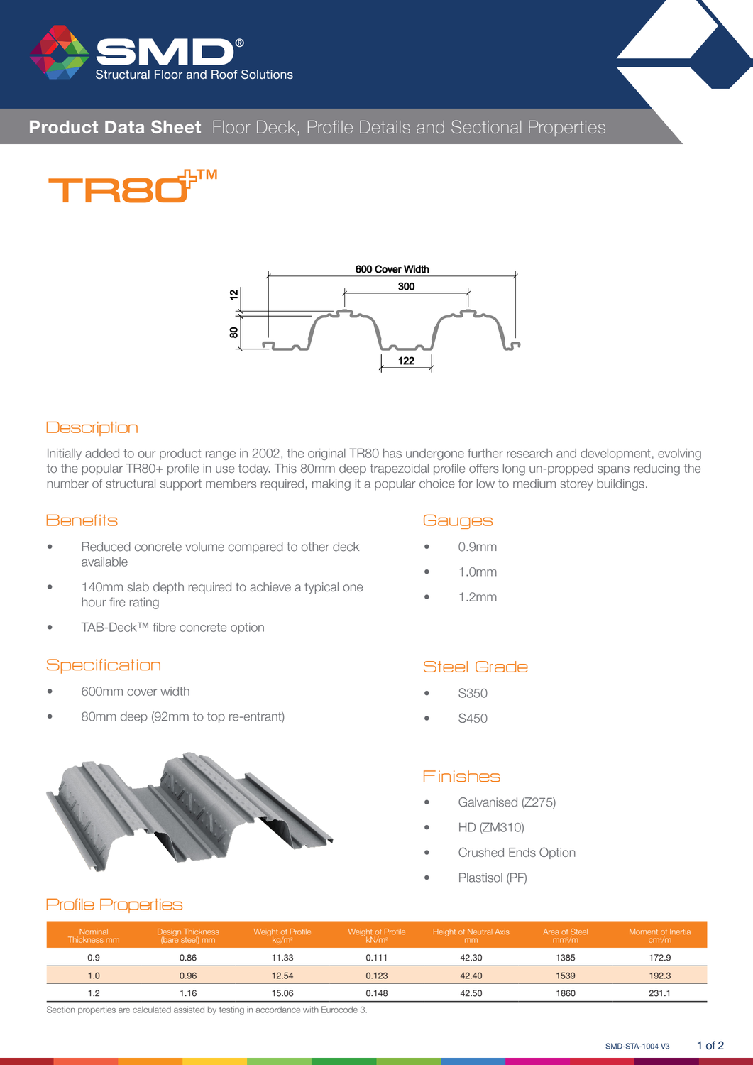

# **Product Data Sheet** Floor Deck, Profile Details and Sectional Properties





#### **Description**

Initially added to our product range in 2002, the original TR80 has undergone further research and development, evolving to the popular TR80+ profile in use today. This 80mm deep trapezoidal profile offers long un-propped spans reducing the number of structural support members required, making it a popular choice for low to medium storey buildings.

#### **Benefits**

- Reduced concrete volume compared to other deck available
- 140mm slab depth required to achieve a typical one hour fire rating
- TAB-Deck™ fibre concrete option

#### **Specification**

- 600mm cover width
- 80mm deep (92mm to top re-entrant)



#### **Gauges**

- 0.9mm
- 1.0mm
- 1.2mm

### Steel Grade

- S350
- S450

#### Finishes

- Galvanised (Z275)
- HD (ZM310)
- Crushed Ends Option
- Plastisol (PF)

#### Profile Properties

| Nominal<br>Thickness mm | <b>Design Thickness</b><br>(bare steel) mm | Weight of Profile<br>ka/m <sup>2</sup> | Weight of Profile<br>kN/m <sup>2</sup> | Height of Neutral Axis<br>mm | Area of Steel<br>mm <sup>2</sup> /m | Moment of Inertia<br>cm <sup>4</sup> /m |
|-------------------------|--------------------------------------------|----------------------------------------|----------------------------------------|------------------------------|-------------------------------------|-----------------------------------------|
| 0.9                     | 0.86                                       | 11.33                                  | 0.111                                  | 42.30                        | 1385                                | 172.9                                   |
| 1.0                     | 0.96                                       | 12.54                                  | 0.123                                  | 42.40                        | 1539                                | 192.3                                   |
|                         | .16                                        | 15.06                                  | 0.148                                  | 42.50                        | 1860                                | 231.1                                   |

Section properties are calculated assisted by testing in accordance with Eurocode 3.